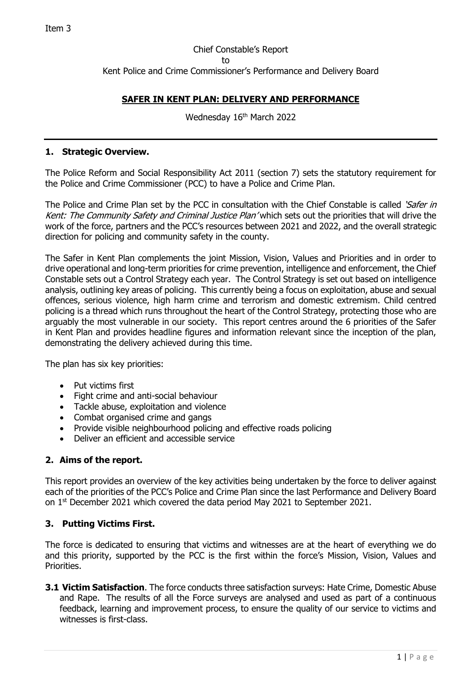# Chief Constable's Report to Kent Police and Crime Commissioner's Performance and Delivery Board

# **SAFER IN KENT PLAN: DELIVERY AND PERFORMANCE**

Wednesday 16th March 2022

#### **1. Strategic Overview.**

The Police Reform and Social Responsibility Act 2011 (section 7) sets the statutory requirement for the Police and Crime Commissioner (PCC) to have a Police and Crime Plan.

The Police and Crime Plan set by the PCC in consultation with the Chief Constable is called 'Safer in Kent: The Community Safety and Criminal Justice Plan' which sets out the priorities that will drive the work of the force, partners and the PCC's resources between 2021 and 2022, and the overall strategic direction for policing and community safety in the county.

The Safer in Kent Plan complements the joint Mission, Vision, Values and Priorities and in order to drive operational and long-term priorities for crime prevention, intelligence and enforcement, the Chief Constable sets out a Control Strategy each year. The Control Strategy is set out based on intelligence analysis, outlining key areas of policing. This currently being a focus on exploitation, abuse and sexual offences, serious violence, high harm crime and terrorism and domestic extremism. Child centred policing is a thread which runs throughout the heart of the Control Strategy, protecting those who are arguably the most vulnerable in our society. This report centres around the 6 priorities of the Safer in Kent Plan and provides headline figures and information relevant since the inception of the plan, demonstrating the delivery achieved during this time.

The plan has six key priorities:

- Put victims first
- Fight crime and anti-social behaviour
- Tackle abuse, exploitation and violence
- Combat organised crime and gangs
- Provide visible neighbourhood policing and effective roads policing
- Deliver an efficient and accessible service

# **2. Aims of the report.**

This report provides an overview of the key activities being undertaken by the force to deliver against each of the priorities of the PCC's Police and Crime Plan since the last Performance and Delivery Board on 1<sup>st</sup> December 2021 which covered the data period May 2021 to September 2021.

## **3. Putting Victims First.**

The force is dedicated to ensuring that victims and witnesses are at the heart of everything we do and this priority, supported by the PCC is the first within the force's Mission, Vision, Values and Priorities.

**3.1 Victim Satisfaction**. The force conducts three satisfaction surveys: Hate Crime, Domestic Abuse and Rape. The results of all the Force surveys are analysed and used as part of a continuous feedback, learning and improvement process, to ensure the quality of our service to victims and witnesses is first-class.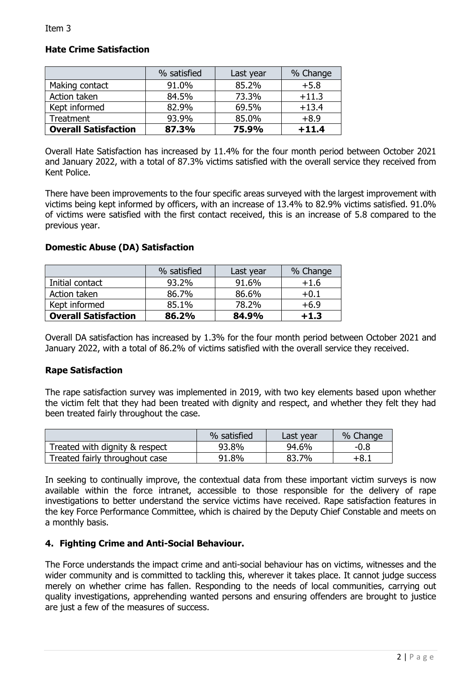## **Hate Crime Satisfaction**

|                             | % satisfied | Last year | % Change |
|-----------------------------|-------------|-----------|----------|
| Making contact              | 91.0%       | 85.2%     | $+5.8$   |
| Action taken                | 84.5%       | 73.3%     | $+11.3$  |
| Kept informed               | 82.9%       | 69.5%     | $+13.4$  |
| Treatment                   | 93.9%       | 85.0%     | $+8.9$   |
| <b>Overall Satisfaction</b> | 87.3%       | 75.9%     | $+11.4$  |

Overall Hate Satisfaction has increased by 11.4% for the four month period between October 2021 and January 2022, with a total of 87.3% victims satisfied with the overall service they received from Kent Police.

There have been improvements to the four specific areas surveyed with the largest improvement with victims being kept informed by officers, with an increase of 13.4% to 82.9% victims satisfied. 91.0% of victims were satisfied with the first contact received, this is an increase of 5.8 compared to the previous year.

## **Domestic Abuse (DA) Satisfaction**

|                             | % satisfied | Last year | % Change |
|-----------------------------|-------------|-----------|----------|
| Initial contact             | 93.2%       | 91.6%     | $+1.6$   |
| Action taken                | 86.7%       | 86.6%     | $+0.1$   |
| Kept informed               | 85.1%       | 78.2%     | $+6.9$   |
| <b>Overall Satisfaction</b> | 86.2%       | 84.9%     | $+1.3$   |

Overall DA satisfaction has increased by 1.3% for the four month period between October 2021 and January 2022, with a total of 86.2% of victims satisfied with the overall service they received.

#### **Rape Satisfaction**

The rape satisfaction survey was implemented in 2019, with two key elements based upon whether the victim felt that they had been treated with dignity and respect, and whether they felt they had been treated fairly throughout the case.

|                                | % satisfied | Last year | % Change |
|--------------------------------|-------------|-----------|----------|
| Treated with dignity & respect | 93.8%       | 94.6%     | $-0.8$   |
| Treated fairly throughout case | 91.8%       | 83.7%     | +8.1     |

In seeking to continually improve, the contextual data from these important victim surveys is now available within the force intranet, accessible to those responsible for the delivery of rape investigations to better understand the service victims have received. Rape satisfaction features in the key Force Performance Committee, which is chaired by the Deputy Chief Constable and meets on a monthly basis.

#### **4. Fighting Crime and Anti-Social Behaviour.**

The Force understands the impact crime and anti-social behaviour has on victims, witnesses and the wider community and is committed to tackling this, wherever it takes place. It cannot judge success merely on whether crime has fallen. Responding to the needs of local communities, carrying out quality investigations, apprehending wanted persons and ensuring offenders are brought to justice are just a few of the measures of success.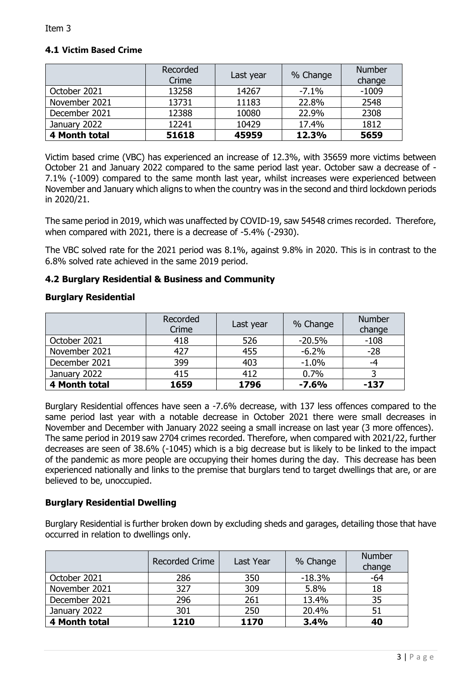# **4.1 Victim Based Crime**

|               | Recorded<br>Crime | Last year | % Change | <b>Number</b><br>change |
|---------------|-------------------|-----------|----------|-------------------------|
| October 2021  | 13258             | 14267     | $-7.1\%$ | $-1009$                 |
| November 2021 | 13731             | 11183     | 22.8%    | 2548                    |
| December 2021 | 12388             | 10080     | 22.9%    | 2308                    |
| January 2022  | 12241             | 10429     | 17.4%    | 1812                    |
| 4 Month total | 51618             | 45959     | 12.3%    | 5659                    |

Victim based crime (VBC) has experienced an increase of 12.3%, with 35659 more victims between October 21 and January 2022 compared to the same period last year. October saw a decrease of - 7.1% (-1009) compared to the same month last year, whilst increases were experienced between November and January which aligns to when the country was in the second and third lockdown periods in 2020/21.

The same period in 2019, which was unaffected by COVID-19, saw 54548 crimes recorded. Therefore, when compared with 2021, there is a decrease of -5.4% (-2930).

The VBC solved rate for the 2021 period was 8.1%, against 9.8% in 2020. This is in contrast to the 6.8% solved rate achieved in the same 2019 period.

## **4.2 Burglary Residential & Business and Community**

## **Burglary Residential**

|               | Recorded<br>Crime | Last year | % Change | <b>Number</b><br>change |
|---------------|-------------------|-----------|----------|-------------------------|
| October 2021  | 418               | 526       | $-20.5%$ | $-108$                  |
| November 2021 | 427               | 455       | $-6.2%$  | $-28$                   |
| December 2021 | 399               | 403       | $-1.0%$  | -4                      |
| January 2022  | 415               | 412       | 0.7%     |                         |
| 4 Month total | 1659              | 1796      | $-7.6%$  | $-137$                  |

Burglary Residential offences have seen a -7.6% decrease, with 137 less offences compared to the same period last year with a notable decrease in October 2021 there were small decreases in November and December with January 2022 seeing a small increase on last year (3 more offences). The same period in 2019 saw 2704 crimes recorded. Therefore, when compared with 2021/22, further decreases are seen of 38.6% (-1045) which is a big decrease but is likely to be linked to the impact of the pandemic as more people are occupying their homes during the day. This decrease has been experienced nationally and links to the premise that burglars tend to target dwellings that are, or are believed to be, unoccupied.

## **Burglary Residential Dwelling**

Burglary Residential is further broken down by excluding sheds and garages, detailing those that have occurred in relation to dwellings only.

|               | <b>Recorded Crime</b> | Last Year | % Change | <b>Number</b><br>change |
|---------------|-----------------------|-----------|----------|-------------------------|
| October 2021  | 286                   | 350       | $-18.3%$ | $-64$                   |
| November 2021 | 327                   | 309       | 5.8%     | 18                      |
| December 2021 | 296                   | 261       | 13.4%    | 35                      |
| January 2022  | 301                   | 250       | 20.4%    | 51                      |
| 4 Month total | 1210                  | 1170      | 3.4%     | 40                      |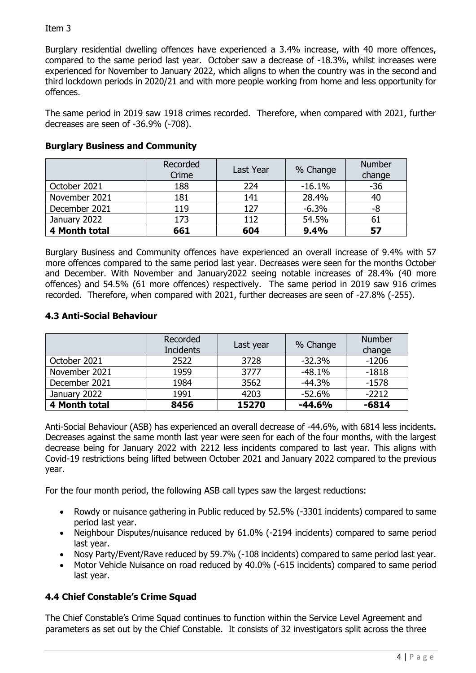Burglary residential dwelling offences have experienced a 3.4% increase, with 40 more offences, compared to the same period last year. October saw a decrease of -18.3%, whilst increases were experienced for November to January 2022, which aligns to when the country was in the second and third lockdown periods in 2020/21 and with more people working from home and less opportunity for offences.

The same period in 2019 saw 1918 crimes recorded. Therefore, when compared with 2021, further decreases are seen of -36.9% (-708).

|               | Recorded<br>Crime | Last Year | % Change | <b>Number</b><br>change |
|---------------|-------------------|-----------|----------|-------------------------|
| October 2021  | 188               | 224       | $-16.1%$ | $-36$                   |
| November 2021 | 181               | 141       | 28.4%    | 40                      |
| December 2021 | 119               | 127       | $-6.3%$  | -8                      |
| January 2022  | 173               | 112       | 54.5%    | 61                      |
| 4 Month total | 661               | 604       | 9.4%     | 57                      |

# **Burglary Business and Community**

Burglary Business and Community offences have experienced an overall increase of 9.4% with 57 more offences compared to the same period last year. Decreases were seen for the months October and December. With November and January2022 seeing notable increases of 28.4% (40 more offences) and 54.5% (61 more offences) respectively. The same period in 2019 saw 916 crimes recorded. Therefore, when compared with 2021, further decreases are seen of -27.8% (-255).

# **4.3 Anti-Social Behaviour**

|               | Recorded<br><b>Incidents</b> | Last year | % Change | <b>Number</b><br>change |
|---------------|------------------------------|-----------|----------|-------------------------|
| October 2021  | 2522                         | 3728      | $-32.3%$ | $-1206$                 |
| November 2021 | 1959                         | 3777      | $-48.1%$ | $-1818$                 |
| December 2021 | 1984                         | 3562      | $-44.3%$ | $-1578$                 |
| January 2022  | 1991                         | 4203      | $-52.6%$ | $-2212$                 |
| 4 Month total | 8456                         | 15270     | $-44.6%$ | $-6814$                 |

Anti-Social Behaviour (ASB) has experienced an overall decrease of -44.6%, with 6814 less incidents. Decreases against the same month last year were seen for each of the four months, with the largest decrease being for January 2022 with 2212 less incidents compared to last year. This aligns with Covid-19 restrictions being lifted between October 2021 and January 2022 compared to the previous year.

For the four month period, the following ASB call types saw the largest reductions:

- Rowdy or nuisance gathering in Public reduced by 52.5% (-3301 incidents) compared to same period last year.
- Neighbour Disputes/nuisance reduced by 61.0% (-2194 incidents) compared to same period last year.
- Nosy Party/Event/Rave reduced by 59.7% (-108 incidents) compared to same period last year.
- Motor Vehicle Nuisance on road reduced by 40.0% (-615 incidents) compared to same period last year.

# **4.4 Chief Constable's Crime Squad**

The Chief Constable's Crime Squad continues to function within the Service Level Agreement and parameters as set out by the Chief Constable. It consists of 32 investigators split across the three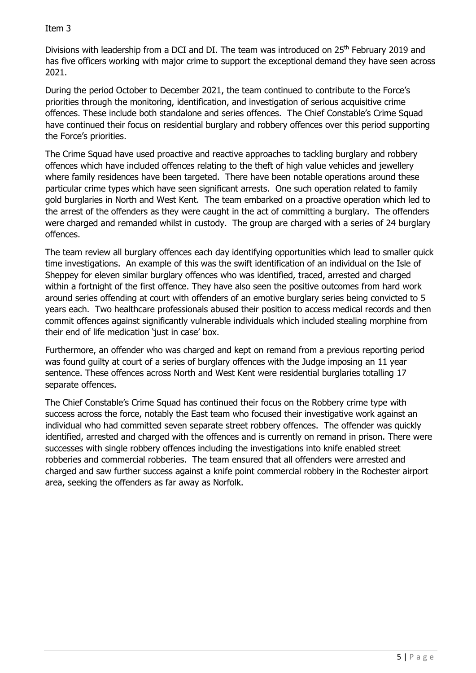Divisions with leadership from a DCI and DI. The team was introduced on 25<sup>th</sup> February 2019 and has five officers working with major crime to support the exceptional demand they have seen across 2021.

During the period October to December 2021, the team continued to contribute to the Force's priorities through the monitoring, identification, and investigation of serious acquisitive crime offences. These include both standalone and series offences. The Chief Constable's Crime Squad have continued their focus on residential burglary and robbery offences over this period supporting the Force's priorities.

The Crime Squad have used proactive and reactive approaches to tackling burglary and robbery offences which have included offences relating to the theft of high value vehicles and jewellery where family residences have been targeted. There have been notable operations around these particular crime types which have seen significant arrests. One such operation related to family gold burglaries in North and West Kent. The team embarked on a proactive operation which led to the arrest of the offenders as they were caught in the act of committing a burglary. The offenders were charged and remanded whilst in custody. The group are charged with a series of 24 burglary offences.

The team review all burglary offences each day identifying opportunities which lead to smaller quick time investigations. An example of this was the swift identification of an individual on the Isle of Sheppey for eleven similar burglary offences who was identified, traced, arrested and charged within a fortnight of the first offence. They have also seen the positive outcomes from hard work around series offending at court with offenders of an emotive burglary series being convicted to 5 years each. Two healthcare professionals abused their position to access medical records and then commit offences against significantly vulnerable individuals which included stealing morphine from their end of life medication 'just in case' box.

Furthermore, an offender who was charged and kept on remand from a previous reporting period was found guilty at court of a series of burglary offences with the Judge imposing an 11 year sentence. These offences across North and West Kent were residential burglaries totalling 17 separate offences.

The Chief Constable's Crime Squad has continued their focus on the Robbery crime type with success across the force, notably the East team who focused their investigative work against an individual who had committed seven separate street robbery offences. The offender was quickly identified, arrested and charged with the offences and is currently on remand in prison. There were successes with single robbery offences including the investigations into knife enabled street robberies and commercial robberies. The team ensured that all offenders were arrested and charged and saw further success against a knife point commercial robbery in the Rochester airport area, seeking the offenders as far away as Norfolk.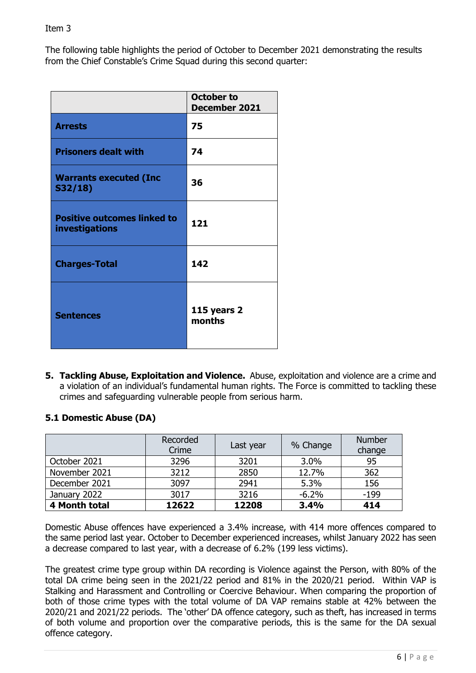The following table highlights the period of October to December 2021 demonstrating the results from the Chief Constable's Crime Squad during this second quarter:

|                                                             | <b>October to</b><br><b>December 2021</b> |
|-------------------------------------------------------------|-------------------------------------------|
| <b>Arrests</b>                                              | 75                                        |
| <b>Prisoners dealt with</b>                                 | 74                                        |
| <b>Warrants executed (Inc.</b><br>S32/18                    | 36                                        |
| <b>Positive outcomes linked to</b><br><b>investigations</b> | 121                                       |
| <b>Charges-Total</b>                                        | 142                                       |
| <b>Sentences</b>                                            | 115 years 2<br>months                     |

**5. Tackling Abuse, Exploitation and Violence.** Abuse, exploitation and violence are a crime and a violation of an individual's fundamental human rights. The Force is committed to tackling these crimes and safeguarding vulnerable people from serious harm.

# **5.1 Domestic Abuse (DA)**

|               | Recorded<br>Crime | Last year | % Change | <b>Number</b><br>change |
|---------------|-------------------|-----------|----------|-------------------------|
| October 2021  | 3296              | 3201      | 3.0%     | 95                      |
| November 2021 | 3212              | 2850      | 12.7%    | 362                     |
| December 2021 | 3097              | 2941      | 5.3%     | 156                     |
| January 2022  | 3017              | 3216      | $-6.2%$  | $-199$                  |
| 4 Month total | 12622             | 12208     | 3.4%     | 414                     |

Domestic Abuse offences have experienced a 3.4% increase, with 414 more offences compared to the same period last year. October to December experienced increases, whilst January 2022 has seen a decrease compared to last year, with a decrease of 6.2% (199 less victims).

The greatest crime type group within DA recording is Violence against the Person, with 80% of the total DA crime being seen in the 2021/22 period and 81% in the 2020/21 period. Within VAP is Stalking and Harassment and Controlling or Coercive Behaviour. When comparing the proportion of both of those crime types with the total volume of DA VAP remains stable at 42% between the 2020/21 and 2021/22 periods. The 'other' DA offence category, such as theft, has increased in terms of both volume and proportion over the comparative periods, this is the same for the DA sexual offence category.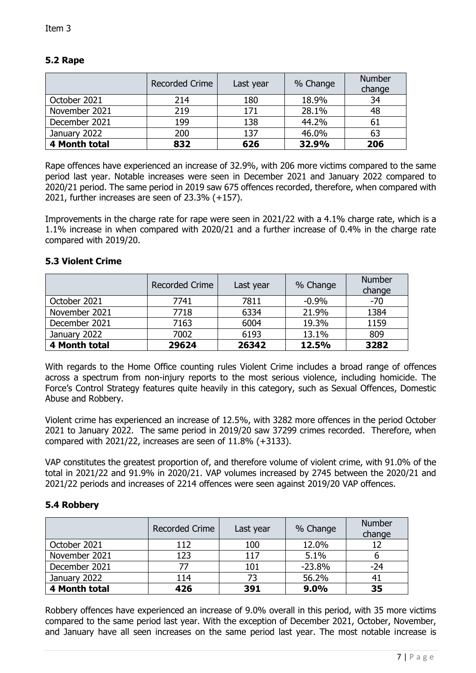# **5.2 Rape**

|               | <b>Recorded Crime</b> | Last year | % Change | <b>Number</b><br>change |
|---------------|-----------------------|-----------|----------|-------------------------|
| October 2021  | 214                   | 180       | 18.9%    | 34                      |
| November 2021 | 219                   | 171       | 28.1%    | 48                      |
| December 2021 | 199                   | 138       | 44.2%    | 61                      |
| January 2022  | 200                   | 137       | 46.0%    | 63                      |
| 4 Month total | 832                   | 626       | 32.9%    | 206                     |

Rape offences have experienced an increase of 32.9%, with 206 more victims compared to the same period last year. Notable increases were seen in December 2021 and January 2022 compared to 2020/21 period. The same period in 2019 saw 675 offences recorded, therefore, when compared with 2021, further increases are seen of 23.3% (+157).

Improvements in the charge rate for rape were seen in 2021/22 with a 4.1% charge rate, which is a 1.1% increase in when compared with 2020/21 and a further increase of 0.4% in the charge rate compared with 2019/20.

#### **5.3 Violent Crime**

|               | <b>Recorded Crime</b> | Last year | % Change | <b>Number</b><br>change |
|---------------|-----------------------|-----------|----------|-------------------------|
| October 2021  | 7741                  | 7811      | $-0.9%$  | $-70$                   |
| November 2021 | 7718                  | 6334      | 21.9%    | 1384                    |
| December 2021 | 7163                  | 6004      | 19.3%    | 1159                    |
| January 2022  | 7002                  | 6193      | 13.1%    | 809                     |
| 4 Month total | 29624                 | 26342     | 12.5%    | 3282                    |

With regards to the Home Office counting rules Violent Crime includes a broad range of offences across a spectrum from non-injury reports to the most serious violence, including homicide. The Force's Control Strategy features quite heavily in this category, such as Sexual Offences, Domestic Abuse and Robbery.

Violent crime has experienced an increase of 12.5%, with 3282 more offences in the period October 2021 to January 2022. The same period in 2019/20 saw 37299 crimes recorded. Therefore, when compared with 2021/22, increases are seen of 11.8% (+3133).

VAP constitutes the greatest proportion of, and therefore volume of violent crime, with 91.0% of the total in 2021/22 and 91.9% in 2020/21. VAP volumes increased by 2745 between the 2020/21 and 2021/22 periods and increases of 2214 offences were seen against 2019/20 VAP offences.

## **5.4 Robbery**

|               | <b>Recorded Crime</b> | Last year | % Change | <b>Number</b><br>change |
|---------------|-----------------------|-----------|----------|-------------------------|
| October 2021  | 112                   | 100       | 12.0%    |                         |
| November 2021 | 123                   | 117       | 5.1%     |                         |
| December 2021 | 77                    | 101       | $-23.8%$ | $-24$                   |
| January 2022  | 114                   | 73        | 56.2%    | 41                      |
| 4 Month total | 426                   | 391       | 9.0%     | 35                      |

Robbery offences have experienced an increase of 9.0% overall in this period, with 35 more victims compared to the same period last year. With the exception of December 2021, October, November, and January have all seen increases on the same period last year. The most notable increase is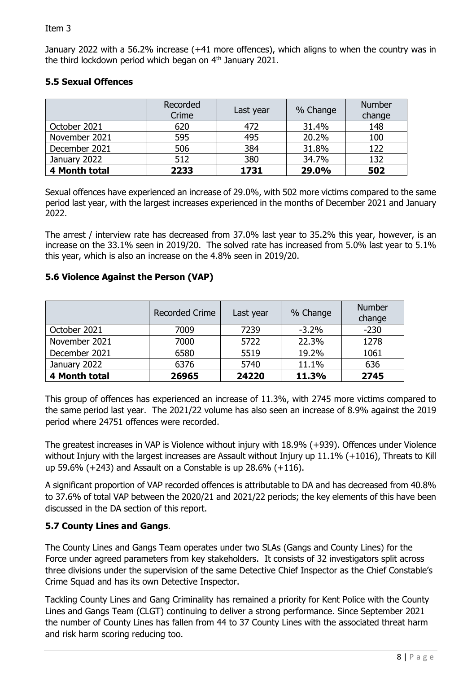January 2022 with a 56.2% increase (+41 more offences), which aligns to when the country was in the third lockdown period which began on 4<sup>th</sup> January 2021.

# **5.5 Sexual Offences**

|               | Recorded<br>Crime | Last year | % Change | <b>Number</b><br>change |
|---------------|-------------------|-----------|----------|-------------------------|
| October 2021  | 620               | 472       | 31.4%    | 148                     |
| November 2021 | 595               | 495       | 20.2%    | 100                     |
| December 2021 | 506               | 384       | 31.8%    | 122                     |
| January 2022  | 512               | 380       | 34.7%    | 132                     |
| 4 Month total | 2233              | 1731      | 29.0%    | 502                     |

Sexual offences have experienced an increase of 29.0%, with 502 more victims compared to the same period last year, with the largest increases experienced in the months of December 2021 and January 2022.

The arrest / interview rate has decreased from 37.0% last year to 35.2% this year, however, is an increase on the 33.1% seen in 2019/20. The solved rate has increased from 5.0% last year to 5.1% this year, which is also an increase on the 4.8% seen in 2019/20.

# **5.6 Violence Against the Person (VAP)**

|               | <b>Recorded Crime</b> | Last year | % Change | <b>Number</b><br>change |
|---------------|-----------------------|-----------|----------|-------------------------|
| October 2021  | 7009                  | 7239      | $-3.2\%$ | $-230$                  |
| November 2021 | 7000                  | 5722      | 22.3%    | 1278                    |
| December 2021 | 6580                  | 5519      | 19.2%    | 1061                    |
| January 2022  | 6376                  | 5740      | 11.1%    | 636                     |
| 4 Month total | 26965                 | 24220     | 11.3%    | 2745                    |

This group of offences has experienced an increase of 11.3%, with 2745 more victims compared to the same period last year. The 2021/22 volume has also seen an increase of 8.9% against the 2019 period where 24751 offences were recorded.

The greatest increases in VAP is Violence without injury with 18.9% (+939). Offences under Violence without Injury with the largest increases are Assault without Injury up 11.1% (+1016), Threats to Kill up 59.6% (+243) and Assault on a Constable is up 28.6% (+116).

A significant proportion of VAP recorded offences is attributable to DA and has decreased from 40.8% to 37.6% of total VAP between the 2020/21 and 2021/22 periods; the key elements of this have been discussed in the DA section of this report.

# **5.7 County Lines and Gangs**.

The County Lines and Gangs Team operates under two SLAs (Gangs and County Lines) for the Force under agreed parameters from key stakeholders. It consists of 32 investigators split across three divisions under the supervision of the same Detective Chief Inspector as the Chief Constable's Crime Squad and has its own Detective Inspector.

Tackling County Lines and Gang Criminality has remained a priority for Kent Police with the County Lines and Gangs Team (CLGT) continuing to deliver a strong performance. Since September 2021 the number of County Lines has fallen from 44 to 37 County Lines with the associated threat harm and risk harm scoring reducing too.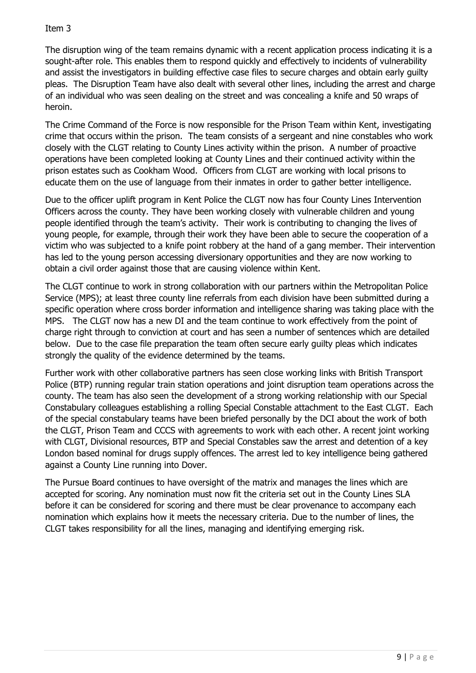The disruption wing of the team remains dynamic with a recent application process indicating it is a sought-after role. This enables them to respond quickly and effectively to incidents of vulnerability and assist the investigators in building effective case files to secure charges and obtain early guilty pleas. The Disruption Team have also dealt with several other lines, including the arrest and charge of an individual who was seen dealing on the street and was concealing a knife and 50 wraps of heroin.

The Crime Command of the Force is now responsible for the Prison Team within Kent, investigating crime that occurs within the prison. The team consists of a sergeant and nine constables who work closely with the CLGT relating to County Lines activity within the prison. A number of proactive operations have been completed looking at County Lines and their continued activity within the prison estates such as Cookham Wood. Officers from CLGT are working with local prisons to educate them on the use of language from their inmates in order to gather better intelligence.

Due to the officer uplift program in Kent Police the CLGT now has four County Lines Intervention Officers across the county. They have been working closely with vulnerable children and young people identified through the team's activity. Their work is contributing to changing the lives of young people, for example, through their work they have been able to secure the cooperation of a victim who was subjected to a knife point robbery at the hand of a gang member. Their intervention has led to the young person accessing diversionary opportunities and they are now working to obtain a civil order against those that are causing violence within Kent.

The CLGT continue to work in strong collaboration with our partners within the Metropolitan Police Service (MPS); at least three county line referrals from each division have been submitted during a specific operation where cross border information and intelligence sharing was taking place with the MPS. The CLGT now has a new DI and the team continue to work effectively from the point of charge right through to conviction at court and has seen a number of sentences which are detailed below. Due to the case file preparation the team often secure early guilty pleas which indicates strongly the quality of the evidence determined by the teams.

Further work with other collaborative partners has seen close working links with British Transport Police (BTP) running regular train station operations and joint disruption team operations across the county. The team has also seen the development of a strong working relationship with our Special Constabulary colleagues establishing a rolling Special Constable attachment to the East CLGT. Each of the special constabulary teams have been briefed personally by the DCI about the work of both the CLGT, Prison Team and CCCS with agreements to work with each other. A recent joint working with CLGT, Divisional resources, BTP and Special Constables saw the arrest and detention of a key London based nominal for drugs supply offences. The arrest led to key intelligence being gathered against a County Line running into Dover.

The Pursue Board continues to have oversight of the matrix and manages the lines which are accepted for scoring. Any nomination must now fit the criteria set out in the County Lines SLA before it can be considered for scoring and there must be clear provenance to accompany each nomination which explains how it meets the necessary criteria. Due to the number of lines, the CLGT takes responsibility for all the lines, managing and identifying emerging risk.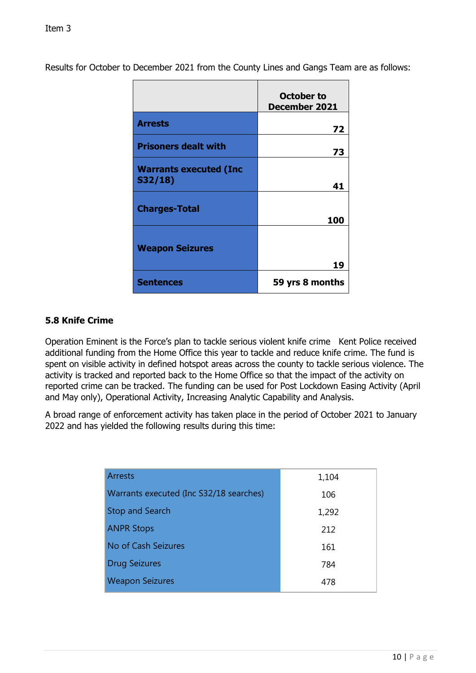Results for October to December 2021 from the County Lines and Gangs Team are as follows:

|                                          | October to<br><b>December 2021</b> |
|------------------------------------------|------------------------------------|
| <b>Arrests</b>                           | 72                                 |
| <b>Prisoners dealt with</b>              | 73                                 |
| <b>Warrants executed (Inc.</b><br>S32/18 | 41                                 |
| <b>Charges-Total</b>                     | 100                                |
| <b>Weapon Seizures</b>                   | 19                                 |
| <b>Sentences</b>                         | 59 yrs 8 months                    |

# **5.8 Knife Crime**

Operation Eminent is the Force's plan to tackle serious violent knife crime Kent Police received additional funding from the Home Office this year to tackle and reduce knife crime. The fund is spent on visible activity in defined hotspot areas across the county to tackle serious violence. The activity is tracked and reported back to the Home Office so that the impact of the activity on reported crime can be tracked. The funding can be used for Post Lockdown Easing Activity (April and May only), Operational Activity, Increasing Analytic Capability and Analysis.

A broad range of enforcement activity has taken place in the period of October 2021 to January 2022 and has yielded the following results during this time:

| <b>Arrests</b>                          | 1,104 |
|-----------------------------------------|-------|
| Warrants executed (Inc S32/18 searches) | 106   |
| <b>Stop and Search</b>                  | 1,292 |
| <b>ANPR Stops</b>                       | 212   |
| No of Cash Seizures                     | 161   |
| <b>Drug Seizures</b>                    | 784   |
| <b>Weapon Seizures</b>                  | 478   |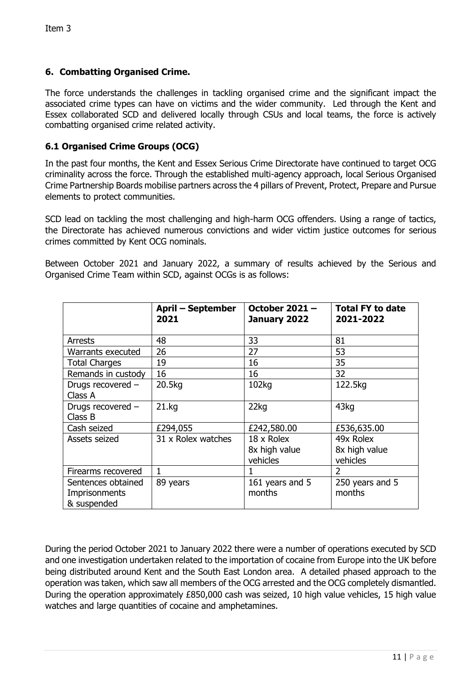# **6. Combatting Organised Crime.**

The force understands the challenges in tackling organised crime and the significant impact the associated crime types can have on victims and the wider community. Led through the Kent and Essex collaborated SCD and delivered locally through CSUs and local teams, the force is actively combatting organised crime related activity.

# **6.1 Organised Crime Groups (OCG)**

In the past four months, the Kent and Essex Serious Crime Directorate have continued to target OCG criminality across the force. Through the established multi-agency approach, local Serious Organised Crime Partnership Boards mobilise partners across the 4 pillars of Prevent, Protect, Prepare and Pursue elements to protect communities.

SCD lead on tackling the most challenging and high-harm OCG offenders. Using a range of tactics, the Directorate has achieved numerous convictions and wider victim justice outcomes for serious crimes committed by Kent OCG nominals.

Between October 2021 and January 2022, a summary of results achieved by the Serious and Organised Crime Team within SCD, against OCGs is as follows:

|                                                    | <b>April – September</b><br>2021 | <b>October 2021 -</b><br>January 2022   | <b>Total FY to date</b><br>2021-2022   |
|----------------------------------------------------|----------------------------------|-----------------------------------------|----------------------------------------|
| <b>Arrests</b>                                     | 48                               | 33                                      | 81                                     |
| Warrants executed                                  | 26                               | 27                                      | 53                                     |
| <b>Total Charges</b>                               | 19                               | 16                                      | 35                                     |
| Remands in custody                                 | 16                               | 16                                      | 32                                     |
| Drugs recovered -<br>Class A                       | 20.5kg                           | 102kg                                   | 122.5kg                                |
| Drugs recovered -<br>Class B                       | 21.kq                            | 22kg                                    | 43kg                                   |
| Cash seized                                        | £294,055                         | £242,580.00                             | £536,635.00                            |
| Assets seized                                      | 31 x Rolex watches               | 18 x Rolex<br>8x high value<br>vehicles | 49x Rolex<br>8x high value<br>vehicles |
| Firearms recovered                                 | 1                                |                                         | $\overline{2}$                         |
| Sentences obtained<br>Imprisonments<br>& suspended | 89 years                         | 161 years and 5<br>months               | 250 years and 5<br>months              |

During the period October 2021 to January 2022 there were a number of operations executed by SCD and one investigation undertaken related to the importation of cocaine from Europe into the UK before being distributed around Kent and the South East London area. A detailed phased approach to the operation was taken, which saw all members of the OCG arrested and the OCG completely dismantled. During the operation approximately £850,000 cash was seized, 10 high value vehicles, 15 high value watches and large quantities of cocaine and amphetamines.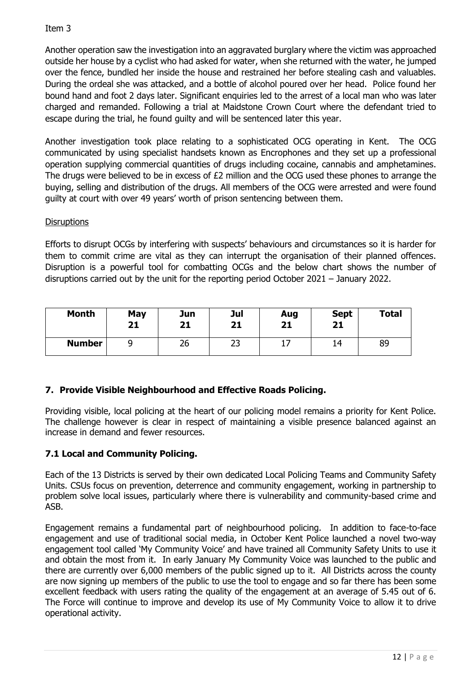Another operation saw the investigation into an aggravated burglary where the victim was approached outside her house by a cyclist who had asked for water, when she returned with the water, he jumped over the fence, bundled her inside the house and restrained her before stealing cash and valuables. During the ordeal she was attacked, and a bottle of alcohol poured over her head. Police found her bound hand and foot 2 days later. Significant enquiries led to the arrest of a local man who was later charged and remanded. Following a trial at Maidstone Crown Court where the defendant tried to escape during the trial, he found guilty and will be sentenced later this year.

Another investigation took place relating to a sophisticated OCG operating in Kent. The OCG communicated by using specialist handsets known as Encrophones and they set up a professional operation supplying commercial quantities of drugs including cocaine, cannabis and amphetamines. The drugs were believed to be in excess of £2 million and the OCG used these phones to arrange the buying, selling and distribution of the drugs. All members of the OCG were arrested and were found guilty at court with over 49 years' worth of prison sentencing between them.

# **Disruptions**

Efforts to disrupt OCGs by interfering with suspects' behaviours and circumstances so it is harder for them to commit crime are vital as they can interrupt the organisation of their planned offences. Disruption is a powerful tool for combatting OCGs and the below chart shows the number of disruptions carried out by the unit for the reporting period October 2021 – January 2022.

| <b>Month</b>  | May<br>21 | Jun<br>21 | Jul<br>21 | Aug<br>21 | <b>Sept</b><br>21 | <b>Total</b> |
|---------------|-----------|-----------|-----------|-----------|-------------------|--------------|
| <b>Number</b> |           | 26        | רר<br>رے  | . .       | 14                | 89           |

# **7. Provide Visible Neighbourhood and Effective Roads Policing.**

Providing visible, local policing at the heart of our policing model remains a priority for Kent Police. The challenge however is clear in respect of maintaining a visible presence balanced against an increase in demand and fewer resources.

# **7.1 Local and Community Policing.**

Each of the 13 Districts is served by their own dedicated Local Policing Teams and Community Safety Units. CSUs focus on prevention, deterrence and community engagement, working in partnership to problem solve local issues, particularly where there is vulnerability and community-based crime and ASB.

Engagement remains a fundamental part of neighbourhood policing. In addition to face-to-face engagement and use of traditional social media, in October Kent Police launched a novel two-way engagement tool called 'My Community Voice' and have trained all Community Safety Units to use it and obtain the most from it. In early January My Community Voice was launched to the public and there are currently over 6,000 members of the public signed up to it. All Districts across the county are now signing up members of the public to use the tool to engage and so far there has been some excellent feedback with users rating the quality of the engagement at an average of 5.45 out of 6. The Force will continue to improve and develop its use of My Community Voice to allow it to drive operational activity.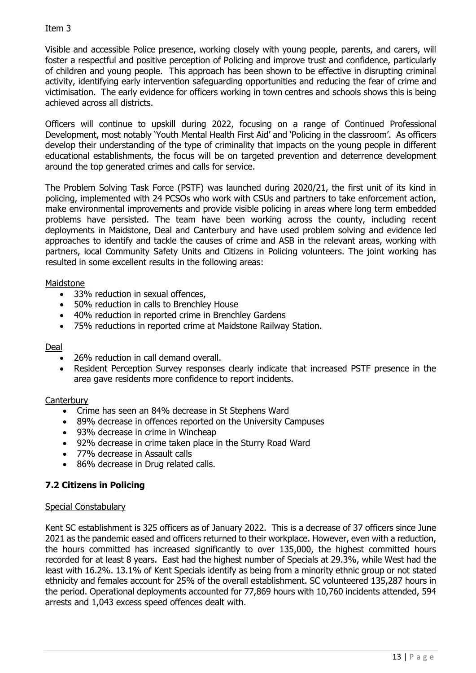Visible and accessible Police presence, working closely with young people, parents, and carers, will foster a respectful and positive perception of Policing and improve trust and confidence, particularly of children and young people. This approach has been shown to be effective in disrupting criminal activity, identifying early intervention safeguarding opportunities and reducing the fear of crime and victimisation. The early evidence for officers working in town centres and schools shows this is being achieved across all districts.

Officers will continue to upskill during 2022, focusing on a range of Continued Professional Development, most notably 'Youth Mental Health First Aid' and 'Policing in the classroom'. As officers develop their understanding of the type of criminality that impacts on the young people in different educational establishments, the focus will be on targeted prevention and deterrence development around the top generated crimes and calls for service.

The Problem Solving Task Force (PSTF) was launched during 2020/21, the first unit of its kind in policing, implemented with 24 PCSOs who work with CSUs and partners to take enforcement action, make environmental improvements and provide visible policing in areas where long term embedded problems have persisted. The team have been working across the county, including recent deployments in Maidstone, Deal and Canterbury and have used problem solving and evidence led approaches to identify and tackle the causes of crime and ASB in the relevant areas, working with partners, local Community Safety Units and Citizens in Policing volunteers. The joint working has resulted in some excellent results in the following areas:

# Maidstone

- 33% reduction in sexual offences,
- 50% reduction in calls to Brenchley House
- 40% reduction in reported crime in Brenchley Gardens
- 75% reductions in reported crime at Maidstone Railway Station.

## Deal

- 26% reduction in call demand overall.
- Resident Perception Survey responses clearly indicate that increased PSTF presence in the area gave residents more confidence to report incidents.

## **Canterbury**

- Crime has seen an 84% decrease in St Stephens Ward
- 89% decrease in offences reported on the University Campuses
- 93% decrease in crime in Wincheap
- 92% decrease in crime taken place in the Sturry Road Ward
- 77% decrease in Assault calls
- 86% decrease in Drug related calls.

# **7.2 Citizens in Policing**

## Special Constabulary

Kent SC establishment is 325 officers as of January 2022. This is a decrease of 37 officers since June 2021 as the pandemic eased and officers returned to their workplace. However, even with a reduction, the hours committed has increased significantly to over 135,000, the highest committed hours recorded for at least 8 years. East had the highest number of Specials at 29.3%, while West had the least with 16.2%. 13.1% of Kent Specials identify as being from a minority ethnic group or not stated ethnicity and females account for 25% of the overall establishment. SC volunteered 135,287 hours in the period. Operational deployments accounted for 77,869 hours with 10,760 incidents attended, 594 arrests and 1,043 excess speed offences dealt with.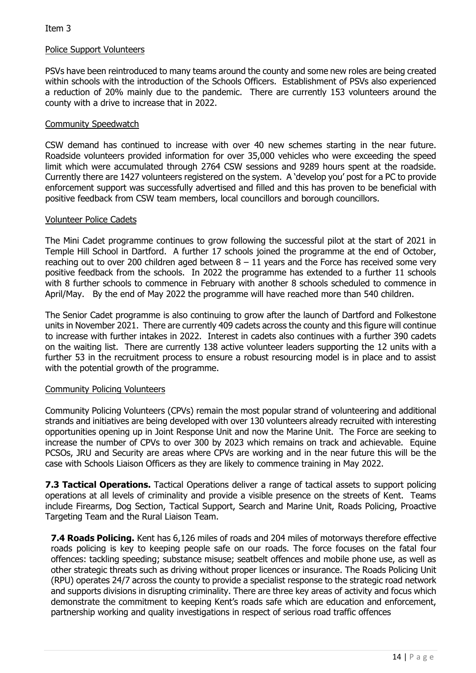## Police Support Volunteers

PSVs have been reintroduced to many teams around the county and some new roles are being created within schools with the introduction of the Schools Officers. Establishment of PSVs also experienced a reduction of 20% mainly due to the pandemic. There are currently 153 volunteers around the county with a drive to increase that in 2022.

#### Community Speedwatch

CSW demand has continued to increase with over 40 new schemes starting in the near future. Roadside volunteers provided information for over 35,000 vehicles who were exceeding the speed limit which were accumulated through 2764 CSW sessions and 9289 hours spent at the roadside. Currently there are 1427 volunteers registered on the system. A 'develop you' post for a PC to provide enforcement support was successfully advertised and filled and this has proven to be beneficial with positive feedback from CSW team members, local councillors and borough councillors.

#### Volunteer Police Cadets

The Mini Cadet programme continues to grow following the successful pilot at the start of 2021 in Temple Hill School in Dartford. A further 17 schools joined the programme at the end of October, reaching out to over 200 children aged between  $8 - 11$  years and the Force has received some very positive feedback from the schools. In 2022 the programme has extended to a further 11 schools with 8 further schools to commence in February with another 8 schools scheduled to commence in April/May. By the end of May 2022 the programme will have reached more than 540 children.

The Senior Cadet programme is also continuing to grow after the launch of Dartford and Folkestone units in November 2021. There are currently 409 cadets across the county and this figure will continue to increase with further intakes in 2022. Interest in cadets also continues with a further 390 cadets on the waiting list. There are currently 138 active volunteer leaders supporting the 12 units with a further 53 in the recruitment process to ensure a robust resourcing model is in place and to assist with the potential growth of the programme.

#### Community Policing Volunteers

Community Policing Volunteers (CPVs) remain the most popular strand of volunteering and additional strands and initiatives are being developed with over 130 volunteers already recruited with interesting opportunities opening up in Joint Response Unit and now the Marine Unit. The Force are seeking to increase the number of CPVs to over 300 by 2023 which remains on track and achievable. Equine PCSOs, JRU and Security are areas where CPVs are working and in the near future this will be the case with Schools Liaison Officers as they are likely to commence training in May 2022.

**7.3 Tactical Operations.** Tactical Operations deliver a range of tactical assets to support policing operations at all levels of criminality and provide a visible presence on the streets of Kent. Teams include Firearms, Dog Section, Tactical Support, Search and Marine Unit, Roads Policing, Proactive Targeting Team and the Rural Liaison Team.

**7.4 Roads Policing.** Kent has 6,126 miles of roads and 204 miles of motorways therefore effective roads policing is key to keeping people safe on our roads. The force focuses on the fatal four offences: tackling speeding; substance misuse; seatbelt offences and mobile phone use, as well as other strategic threats such as driving without proper licences or insurance. The Roads Policing Unit (RPU) operates 24/7 across the county to provide a specialist response to the strategic road network and supports divisions in disrupting criminality. There are three key areas of activity and focus which demonstrate the commitment to keeping Kent's roads safe which are education and enforcement, partnership working and quality investigations in respect of serious road traffic offences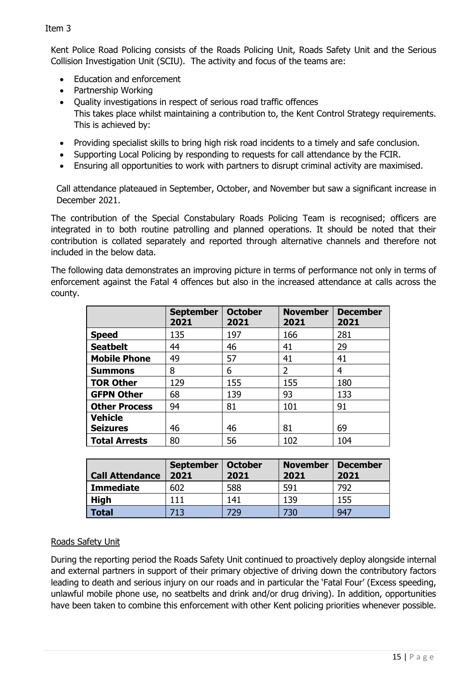Kent Police Road Policing consists of the Roads Policing Unit, Roads Safety Unit and the Serious Collision Investigation Unit (SCIU). The activity and focus of the teams are:

- Education and enforcement
- Partnership Working
- Quality investigations in respect of serious road traffic offences This takes place whilst maintaining a contribution to, the Kent Control Strategy requirements. This is achieved by:
- Providing specialist skills to bring high risk road incidents to a timely and safe conclusion.
- Supporting Local Policing by responding to requests for call attendance by the FCIR.
- Ensuring all opportunities to work with partners to disrupt criminal activity are maximised.

Call attendance plateaued in September, October, and November but saw a significant increase in December 2021.

The contribution of the Special Constabulary Roads Policing Team is recognised; officers are integrated in to both routine patrolling and planned operations. It should be noted that their contribution is collated separately and reported through alternative channels and therefore not included in the below data.

The following data demonstrates an improving picture in terms of performance not only in terms of enforcement against the Fatal 4 offences but also in the increased attendance at calls across the county.

|                      | <b>September</b><br>2021 | <b>October</b><br>2021 | <b>November</b><br>2021 | <b>December</b><br>2021 |
|----------------------|--------------------------|------------------------|-------------------------|-------------------------|
| <b>Speed</b>         | 135                      | 197                    | 166                     | 281                     |
| <b>Seatbelt</b>      | 44                       | 46                     | 41                      | 29                      |
| <b>Mobile Phone</b>  | 49                       | 57                     | 41                      | 41                      |
| <b>Summons</b>       | 8                        | 6                      | 2                       | 4                       |
| <b>TOR Other</b>     | 129                      | 155                    | 155                     | 180                     |
| <b>GFPN Other</b>    | 68                       | 139                    | 93                      | 133                     |
| <b>Other Process</b> | 94                       | 81                     | 101                     | 91                      |
| <b>Vehicle</b>       |                          |                        |                         |                         |
| <b>Seizures</b>      | 46                       | 46                     | 81                      | 69                      |
| <b>Total Arrests</b> | 80                       | 56                     | 102                     | 104                     |

| <b>Call Attendance</b> | <b>September</b><br>2021 | <b>October</b><br>2021 | <b>November</b><br>2021 | <b>December</b><br>2021 |
|------------------------|--------------------------|------------------------|-------------------------|-------------------------|
| <b>Immediate</b>       | 602                      | 588                    | 591                     | 792                     |
| <b>High</b>            | 111                      | 141                    | 139                     | 155                     |
| <b>Total</b>           | 713                      | 729                    | 730                     | 947                     |

## Roads Safety Unit

During the reporting period the Roads Safety Unit continued to proactively deploy alongside internal and external partners in support of their primary objective of driving down the contributory factors leading to death and serious injury on our roads and in particular the 'Fatal Four' (Excess speeding, unlawful mobile phone use, no seatbelts and drink and/or drug driving). In addition, opportunities have been taken to combine this enforcement with other Kent policing priorities whenever possible.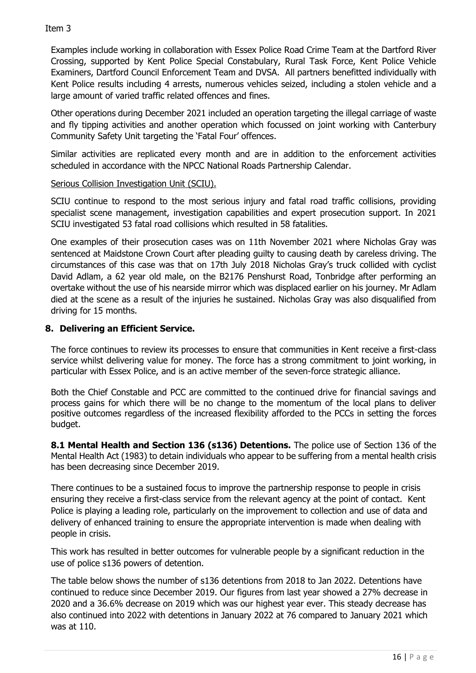Examples include working in collaboration with Essex Police Road Crime Team at the Dartford River Crossing, supported by Kent Police Special Constabulary, Rural Task Force, Kent Police Vehicle Examiners, Dartford Council Enforcement Team and DVSA. All partners benefitted individually with Kent Police results including 4 arrests, numerous vehicles seized, including a stolen vehicle and a large amount of varied traffic related offences and fines.

Other operations during December 2021 included an operation targeting the illegal carriage of waste and fly tipping activities and another operation which focussed on joint working with Canterbury Community Safety Unit targeting the 'Fatal Four' offences.

Similar activities are replicated every month and are in addition to the enforcement activities scheduled in accordance with the NPCC National Roads Partnership Calendar.

## Serious Collision Investigation Unit (SCIU).

SCIU continue to respond to the most serious injury and fatal road traffic collisions, providing specialist scene management, investigation capabilities and expert prosecution support. In 2021 SCIU investigated 53 fatal road collisions which resulted in 58 fatalities.

One examples of their prosecution cases was on 11th November 2021 where Nicholas Gray was sentenced at Maidstone Crown Court after pleading guilty to causing death by careless driving. The circumstances of this case was that on 17th July 2018 Nicholas Gray's truck collided with cyclist David Adlam, a 62 year old male, on the B2176 Penshurst Road, Tonbridge after performing an overtake without the use of his nearside mirror which was displaced earlier on his journey. Mr Adlam died at the scene as a result of the injuries he sustained. Nicholas Gray was also disqualified from driving for 15 months.

## **8. Delivering an Efficient Service.**

The force continues to review its processes to ensure that communities in Kent receive a first-class service whilst delivering value for money. The force has a strong commitment to joint working, in particular with Essex Police, and is an active member of the seven-force strategic alliance.

Both the Chief Constable and PCC are committed to the continued drive for financial savings and process gains for which there will be no change to the momentum of the local plans to deliver positive outcomes regardless of the increased flexibility afforded to the PCCs in setting the forces budget.

**8.1 Mental Health and Section 136 (s136) Detentions.** The police use of Section 136 of the Mental Health Act (1983) to detain individuals who appear to be suffering from a mental health crisis has been decreasing since December 2019.

There continues to be a sustained focus to improve the partnership response to people in crisis ensuring they receive a first-class service from the relevant agency at the point of contact. Kent Police is playing a leading role, particularly on the improvement to collection and use of data and delivery of enhanced training to ensure the appropriate intervention is made when dealing with people in crisis.

This work has resulted in better outcomes for vulnerable people by a significant reduction in the use of police s136 powers of detention.

The table below shows the number of s136 detentions from 2018 to Jan 2022. Detentions have continued to reduce since December 2019. Our figures from last year showed a 27% decrease in 2020 and a 36.6% decrease on 2019 which was our highest year ever. This steady decrease has also continued into 2022 with detentions in January 2022 at 76 compared to January 2021 which was at 110.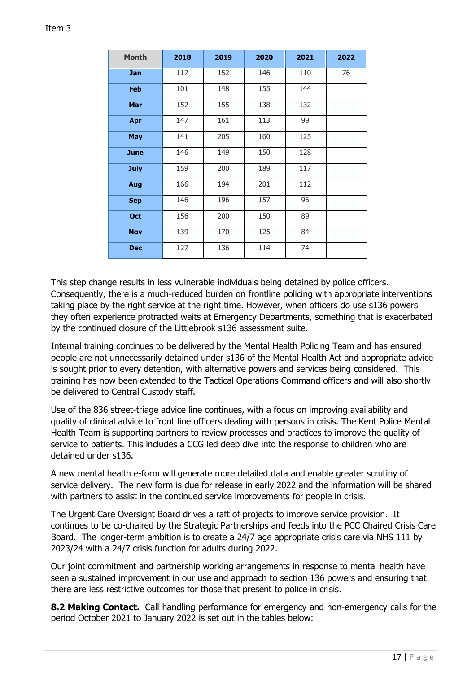| <b>Month</b> | 2018 | 2019 | 2020 | 2021 | 2022 |
|--------------|------|------|------|------|------|
| <b>Jan</b>   | 117  | 152  | 146  | 110  | 76   |
| <b>Feb</b>   | 101  | 148  | 155  | 144  |      |
| Mar          | 152  | 155  | 138  | 132  |      |
| Apr          | 147  | 161  | 113  | 99   |      |
| <b>May</b>   | 141  | 205  | 160  | 125  |      |
| <b>June</b>  | 146  | 149  | 150  | 128  |      |
| <b>July</b>  | 159  | 200  | 189  | 117  |      |
| Aug          | 166  | 194  | 201  | 112  |      |
| <b>Sep</b>   | 146  | 196  | 157  | 96   |      |
| Oct          | 156  | 200  | 150  | 89   |      |
| <b>Nov</b>   | 139  | 170  | 125  | 84   |      |
| <b>Dec</b>   | 127  | 136  | 114  | 74   |      |

This step change results in less vulnerable individuals being detained by police officers. Consequently, there is a much-reduced burden on frontline policing with appropriate interventions taking place by the right service at the right time. However, when officers do use s136 powers they often experience protracted waits at Emergency Departments, something that is exacerbated by the continued closure of the Littlebrook s136 assessment suite.

Internal training continues to be delivered by the Mental Health Policing Team and has ensured people are not unnecessarily detained under s136 of the Mental Health Act and appropriate advice is sought prior to every detention, with alternative powers and services being considered. This training has now been extended to the Tactical Operations Command officers and will also shortly be delivered to Central Custody staff.

Use of the 836 street-triage advice line continues, with a focus on improving availability and quality of clinical advice to front line officers dealing with persons in crisis. The Kent Police Mental Health Team is supporting partners to review processes and practices to improve the quality of service to patients. This includes a CCG led deep dive into the response to children who are detained under s136.

A new mental health e-form will generate more detailed data and enable greater scrutiny of service delivery. The new form is due for release in early 2022 and the information will be shared with partners to assist in the continued service improvements for people in crisis.

The Urgent Care Oversight Board drives a raft of projects to improve service provision. It continues to be co-chaired by the Strategic Partnerships and feeds into the PCC Chaired Crisis Care Board. The longer-term ambition is to create a 24/7 age appropriate crisis care via NHS 111 by 2023/24 with a 24/7 crisis function for adults during 2022.

Our joint commitment and partnership working arrangements in response to mental health have seen a sustained improvement in our use and approach to section 136 powers and ensuring that there are less restrictive outcomes for those that present to police in crisis.

**8.2 Making Contact.** Call handling performance for emergency and non-emergency calls for the period October 2021 to January 2022 is set out in the tables below: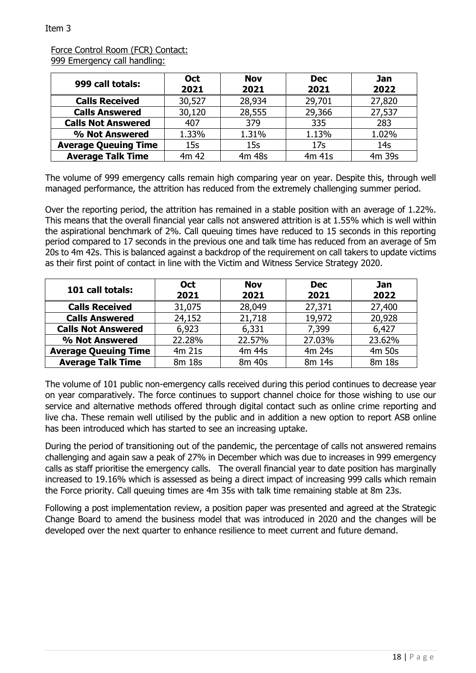#### Force Control Room (FCR) Contact: 999 Emergency call handling:

| 999 call totals:            | <b>Oct</b><br>2021 | <b>Nov</b><br>2021 | <b>Dec</b><br>2021 | <b>Jan</b><br>2022 |
|-----------------------------|--------------------|--------------------|--------------------|--------------------|
| <b>Calls Received</b>       | 30,527             | 28,934             | 29,701             | 27,820             |
| <b>Calls Answered</b>       | 30,120             | 28,555             | 29,366             | 27,537             |
| <b>Calls Not Answered</b>   | 407                | 379                | 335                | 283                |
| % Not Answered              | 1.33%              | 1.31%              | 1.13%              | 1.02%              |
| <b>Average Queuing Time</b> | 15s                | 15s                | 17 <sub>S</sub>    | 14 <sub>S</sub>    |
| <b>Average Talk Time</b>    | 4m 42              | 4m 48s             | 4m 41s             | 4m 39s             |

The volume of 999 emergency calls remain high comparing year on year. Despite this, through well managed performance, the attrition has reduced from the extremely challenging summer period.

Over the reporting period, the attrition has remained in a stable position with an average of 1.22%. This means that the overall financial year calls not answered attrition is at 1.55% which is well within the aspirational benchmark of 2%. Call queuing times have reduced to 15 seconds in this reporting period compared to 17 seconds in the previous one and talk time has reduced from an average of 5m 20s to 4m 42s. This is balanced against a backdrop of the requirement on call takers to update victims as their first point of contact in line with the Victim and Witness Service Strategy 2020.

| 101 call totals:            | <b>Oct</b><br>2021 | <b>Nov</b><br>2021 | <b>Dec</b><br>2021 | Jan<br>2022 |
|-----------------------------|--------------------|--------------------|--------------------|-------------|
| <b>Calls Received</b>       | 31,075             | 28,049             | 27,371             | 27,400      |
| <b>Calls Answered</b>       | 24,152             | 21,718             | 19,972             | 20,928      |
| <b>Calls Not Answered</b>   | 6,923              | 6,331              | 7,399              | 6,427       |
| % Not Answered              | 22.28%             | 22.57%             | 27.03%             | 23.62%      |
| <b>Average Queuing Time</b> | $4m$ 21s           | 4m 44s             | 4m 24s             | 4m 50s      |
| <b>Average Talk Time</b>    | 8m 18s             | 8m 40s             | 8m 14s             | 8m 18s      |

The volume of 101 public non-emergency calls received during this period continues to decrease year on year comparatively. The force continues to support channel choice for those wishing to use our service and alternative methods offered through digital contact such as online crime reporting and live cha. These remain well utilised by the public and in addition a new option to report ASB online has been introduced which has started to see an increasing uptake.

During the period of transitioning out of the pandemic, the percentage of calls not answered remains challenging and again saw a peak of 27% in December which was due to increases in 999 emergency calls as staff prioritise the emergency calls. The overall financial year to date position has marginally increased to 19.16% which is assessed as being a direct impact of increasing 999 calls which remain the Force priority. Call queuing times are 4m 35s with talk time remaining stable at 8m 23s.

Following a post implementation review, a position paper was presented and agreed at the Strategic Change Board to amend the business model that was introduced in 2020 and the changes will be developed over the next quarter to enhance resilience to meet current and future demand.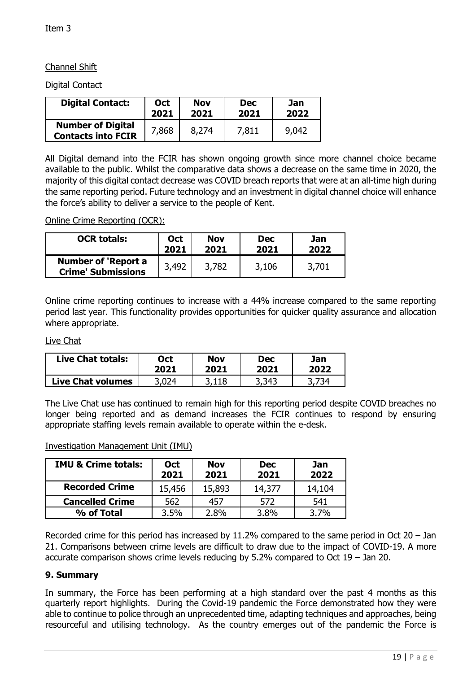# Channel Shift

Digital Contact

| <b>Digital Contact:</b>                               | Oct   | <b>Nov</b> | <b>Dec</b> | Jan   |
|-------------------------------------------------------|-------|------------|------------|-------|
|                                                       | 2021  | 2021       | 2021       | 2022  |
| <b>Number of Digital</b><br><b>Contacts into FCIR</b> | 7,868 | 8,274      | 7,811      | 9,042 |

All Digital demand into the FCIR has shown ongoing growth since more channel choice became available to the public. Whilst the comparative data shows a decrease on the same time in 2020, the majority of this digital contact decrease was COVID breach reports that were at an all-time high during the same reporting period. Future technology and an investment in digital channel choice will enhance the force's ability to deliver a service to the people of Kent.

Online Crime Reporting (OCR):

| <b>OCR totals:</b>                                      | <b>Oct</b> | <b>Nov</b> | <b>Dec</b> | Jan   |
|---------------------------------------------------------|------------|------------|------------|-------|
|                                                         | 2021       | 2021       | 2021       | 2022  |
| <b>Number of 'Report a</b><br><b>Crime' Submissions</b> | 3,492      | 3,782      | 3,106      | 3,701 |

Online crime reporting continues to increase with a 44% increase compared to the same reporting period last year. This functionality provides opportunities for quicker quality assurance and allocation where appropriate.

#### Live Chat

| <b>Live Chat totals:</b> | <b>Dct</b> | Nov   | Dec   | Jan  |
|--------------------------|------------|-------|-------|------|
|                          | 2021       | 2021  | 2021  | 2022 |
| <b>Live Chat volumes</b> | 3 በን4      | 3.118 | 3,343 | 734. |

The Live Chat use has continued to remain high for this reporting period despite COVID breaches no longer being reported and as demand increases the FCIR continues to respond by ensuring appropriate staffing levels remain available to operate within the e-desk.

| <b>IMU &amp; Crime totals:</b> | <b>Oct</b><br>2021 | <b>Nov</b><br>2021 | <b>Dec</b><br>2021 | Jan<br>2022 |
|--------------------------------|--------------------|--------------------|--------------------|-------------|
| <b>Recorded Crime</b>          | 15,456             | 15,893             | 14,377             | 14,104      |
| <b>Cancelled Crime</b>         | 562                | 457                | 572                | 541         |
| % of Total                     | 3.5%               | 2.8%               | 3.8%               | 3.7%        |

Investigation Management Unit (IMU)

Recorded crime for this period has increased by  $11.2\%$  compared to the same period in Oct 20 – Jan 21. Comparisons between crime levels are difficult to draw due to the impact of COVID-19. A more accurate comparison shows crime levels reducing by 5.2% compared to Oct 19 – Jan 20.

## **9. Summary**

In summary, the Force has been performing at a high standard over the past 4 months as this quarterly report highlights. During the Covid-19 pandemic the Force demonstrated how they were able to continue to police through an unprecedented time, adapting techniques and approaches, being resourceful and utilising technology. As the country emerges out of the pandemic the Force is